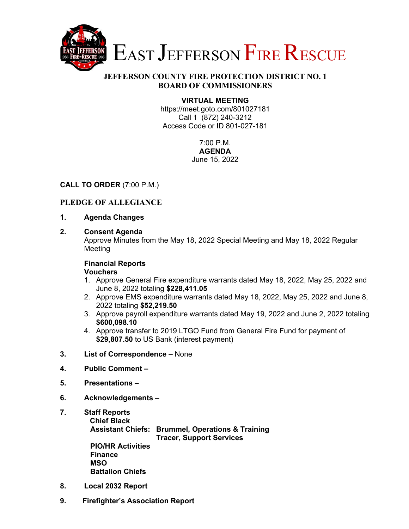

## **JEFFERSON COUNTY FIRE PROTECTION DISTRICT NO. 1 BOARD OF COMMISSIONERS**

## **VIRTUAL MEETING**

https://meet.goto.com/801027181 Call 1 (872) 240-3212 Access Code or ID 801-027-181

> 7:00 P.M. **AGENDA**  June 15, 2022

## **CALL TO ORDER** (7:00 P.M.)

# **PLEDGE OF ALLEGIANCE**

- **1. Agenda Changes**
- **2. Consent Agenda**

Approve Minutes from the May 18, 2022 Special Meeting and May 18, 2022 Regular Meeting

### **Financial Reports**

#### **Vouchers**

- 1. Approve General Fire expenditure warrants dated May 18, 2022, May 25, 2022 and June 8, 2022 totaling **\$228,411.05**
- 2. Approve EMS expenditure warrants dated May 18, 2022, May 25, 2022 and June 8, 2022 totaling **\$52,219.50**
- 3. Approve payroll expenditure warrants dated May 19, 2022 and June 2, 2022 totaling **\$600,098.10**
- 4. Approve transfer to 2019 LTGO Fund from General Fire Fund for payment of **\$29,807.50** to US Bank (interest payment)
- **3. List of Correspondence** None
- **4. Public Comment**
- **5. Presentations**
- **6. Acknowledgements**
- **7. Staff Reports Chief Black Assistant Chiefs: Brummel, Operations & Training Tracer, Support Services PIO/HR Activities Finance MSO Battalion Chiefs**
- **8. Local 2032 Report**
- **9. Firefighter's Association Report**